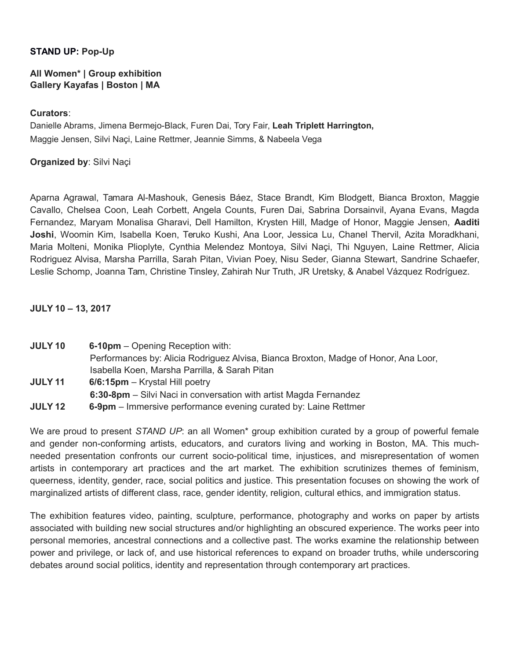## **STAND UP: Pop-Up**

## **All Women\* | Group exhibition Gallery Kayafas | Boston | MA**

#### **Curators**:

Danielle Abrams, Jimena Bermejo-Black, Furen Dai, Tory Fair, **Leah Triplett Harrington,** Maggie Jensen, Silvi Naçi, Laine Rettmer, Jeannie Simms, & Nabeela Vega

# **Organized by**: Silvi Naçi

Aparna Agrawal, Tamara Al-Mashouk, Genesis Báez, Stace Brandt, Kim Blodgett, Bianca Broxton, Maggie Cavallo, Chelsea Coon, Leah Corbett, Angela Counts, Furen Dai, Sabrina Dorsainvil, Ayana Evans, Magda Fernandez, Maryam Monalisa Gharavi, Dell Hamilton, Krysten Hill, Madge of Honor, Maggie Jensen, **Aaditi Joshi**, Woomin Kim, Isabella Koen, Teruko Kushi, Ana Loor, Jessica Lu, Chanel Thervil, Azita Moradkhani, Maria Molteni, Monika Plioplyte, Cynthia Melendez Montoya, Silvi Naçi, Thi Nguyen, Laine Rettmer, Alicia Rodriguez Alvisa, Marsha Parrilla, Sarah Pitan, Vivian Poey, Nisu Seder, Gianna Stewart, Sandrine Schaefer, Leslie Schomp, Joanna Tam, Christine Tinsley, Zahirah Nur Truth, JR Uretsky, & Anabel Vázquez Rodríguez.

## **JULY 10 – 13, 2017**

- **JULY 10 6-10pm**  Opening Reception with: Performances by: Alicia Rodriguez Alvisa, Bianca Broxton, Madge of Honor, Ana Loor, Isabella Koen, Marsha Parrilla, & Sarah Pitan **JULY 11 6/6:15pm** – Krystal Hill poetry **6:30-8pm** – Silvi Naci in conversation with artist Magda Fernandez
- **JULY 12 6-9pm**  Immersive performance evening curated by: Laine Rettmer

We are proud to present *STAND UP*: an all Women<sup>\*</sup> group exhibition curated by a group of powerful female and gender non-conforming artists, educators, and curators living and working in Boston, MA. This muchneeded presentation confronts our current socio-political time, injustices, and misrepresentation of women artists in contemporary art practices and the art market. The exhibition scrutinizes themes of feminism, queerness, identity, gender, race, social politics and justice. This presentation focuses on showing the work of marginalized artists of different class, race, gender identity, religion, cultural ethics, and immigration status.

The exhibition features video, painting, sculpture, performance, photography and works on paper by artists associated with building new social structures and/or highlighting an obscured experience. The works peer into personal memories, ancestral connections and a collective past. The works examine the relationship between power and privilege, or lack of, and use historical references to expand on broader truths, while underscoring debates around social politics, identity and representation through contemporary art practices.